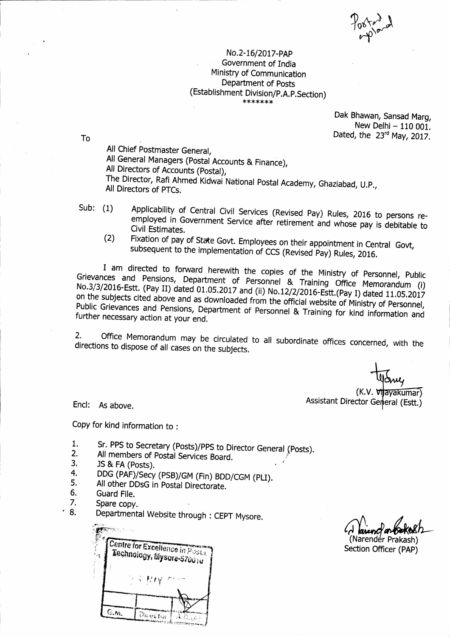Pooted d

#### No.2-16/2017-PAP Government of India Ministry of Communication Department of posts (Establishment Division/p.A. p.Section) \*\*\*\*\*\*\*

Dak Bhawan, Sansad Marg, New Delhi  $-110001$ . To Dated, the 23<sup>rd</sup> May, 2017.

All Chief postmaster General, All General Managers (Postal Accounts & Finance), All Directors of Accounts (Postal), The Director, Rafi Ahmed Kidwai National Postal Academy, Ghaziabad, U.P., All Directors of PTCs.

- Sub: (1) Applicability of Central Civil Services (Revised Pay) Rules, 2016 to persons reemployed in Government Service after retirement and whose pay is debitable to<br>Civil Estimates.<br>(2) Fixation of pay of State Govt. Employees on their appointment in Central Govt,<br>subsequent to the implementation of CCS (Rev
	-

I am directed to forward herewith the copies of the Ministry of Personnel, Public<br>Grievances and Pensions, Department of Personnel & Training Office Memorandum (i) No.3/3/2016-Estt. Grievances and Pensions, Department of Personnel & Training Office Memorandum (i)<br>No.3/3/2016-Estt. (Pay II) dated 01.05.2017 and (ii) No.12/2/2016-Estt. (Pay I) dated 11.05.2017<br>on the subjects cited above and as download further necessary action at your end. on the subjects cited above and as downloaded from the official website of Ministry of Personnel, Public Grievances and Pensions, Department of Personnel & Training for kind information and

directions to dispose of all cases on the subjects. 2. Office Memorandum may be circulated to all subordinate offices concerned, with the

(K.V. **vijayakumar)**<br>Assistant Director General (Estt.)

Copy for kind information to :

- Sr. PPS to Secretary (Posts)/PPS to Director General (Posts).  $1.$
- $2.$ All members of Postal Services Board. .... *Incribers o*f Fostal Services Board.<br>JS & FA (Posts).
- 3.
- DDG (PAF)/Secy (PSB)/GM (Fin) BDD/CGM (PLI).  $\overline{4}$ .
- 5. All other DDsG in Postal Directorate.
- 6. Guard File.
- 7. Spare copy.
- 8.

Departmental Website through : CEPT Mysore.<br>
Maximum (A laxience a backed)<br>
(Narender Prakash) Centre for Excellence in Postal and Centre Section Officer (PAP) Section Officer (PAP)  $G.m.$  $\Omega$ n et tui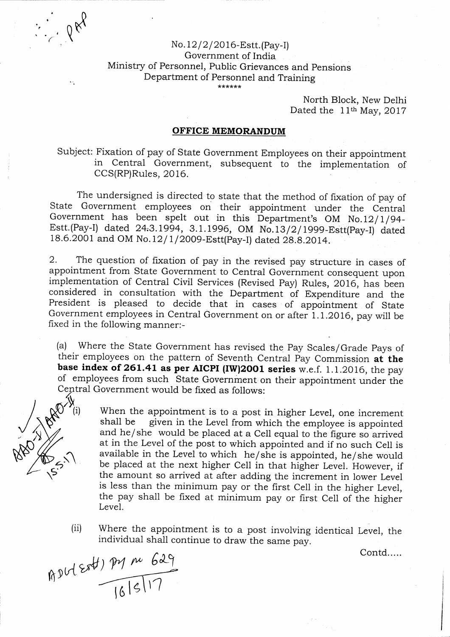## $\rm No.12/2/2016$ -Estt.(Pay-I) Government of India Ministry of Personnel, Public Grievances and Pensions Department of Personnel and Training

North Block, New Delhi Dated the  $11<sup>th</sup>$  May, 2017

#### OFFICE MEMORANDUM

Subject: Fixation of pay of State Government Employees on their appointment in Central Government, subsequent to the implementation of CCS(RP)Rules, 2016.

The undersigned is directed to state that the method of fixation of pay of State Government employees on their appointment under the Central Government has been spelt out in this Department's OM  $No.12/1/94-$ Estt.(Pay-I) dated 24.3.1994, 3.1.1996, OM No.13/2/1999-Estt(Pay-I) dated 18.6.2001 and OM No.12/1/2009-Estt(Pay-I) dated 28.8.2014.

2. The question of fixation of pay in the revised pay structure in cases of appointment from State Government to Central Government consequent upon implementation of Central Civil Services (Revised Pay) Rules, 2016, has been considered in consultation with the Department of Expenditure and the President is pleased to decide that in cases of appointment of State Government employees in Central Government on or after 1.1.2016, pay will be fixed in the following manner:-

(a) Where the State Government has revised the Pay Scales/Grade Pays of their employees on the pattern of Seventh Central Pay Commission at the base index of 261.41 as per AICPI (IW)2001 series w.e.f. 1.1.2016, the pay of employees from such State Government on their appointment under the base index of 261.41 as per AICPI (IW)2001 series w.e.f. 1.1.2016, the pay Ceptral Government would be fixed as follows: (\,

> When the appointment is to a post in higher Level, one increment<br>shall be given in the Level from which the employee is appointed given in the Level from which the employee is appointed and he/she would be placed at a Cell equal to the figure so arrived at in the Level of the post to which appointed and if no such cell is available in the Level to which he/she is appointed, he/she would be placed at the next higher Cell in that higher Level. However, if the amount so arrived at after adding the increment in lower Level is less than the minimum pay or the first cell in the higher Level, the pay shall be fixed at minimum pay or first cell of the higher Level.

(ii) Where the appointment is to a post involving identical Level, the individual shall continue to draw the same pay.

Contd......

 $RpdcsH)$  py m 629

 $\cdot$  $\mathcal{S}$  $\cdot$  for  $\circ$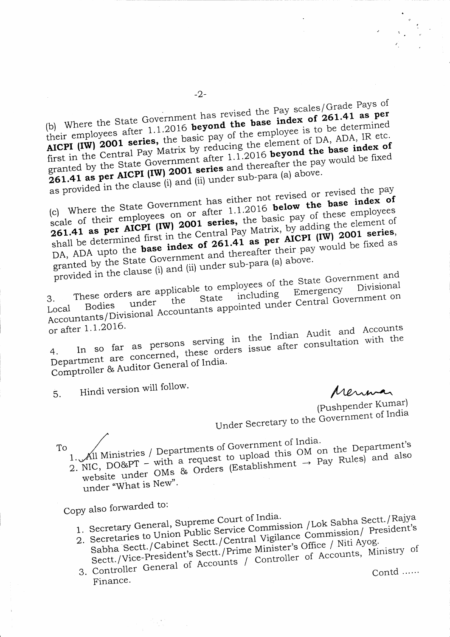(b) Where the State Government has revised the Pay scales/Grade Pays of their employees after 1.1.2016 beyond the base index of 261.41 as per AICPI (IW) 2001 series, the basic pay of the employee is to be determined first in the Central Pay Matrix by reducing the element of DA, ADA, IR etc. granted by the State Government after 1.1.2016 beyond the base index of 261.41 as per AICPI (IW) 2001 series and thereafter the pay would be fixed as provided in the clause (i) and (ii) under sub-para (a) above.

(c) Where the State Government has either not revised or revised the pay scale of their employees on or after 1.1.2016 below the base index of 261.41 as per AICPI (IW) 2001 series, the basic pay of these employees shall be determined first in the Central Pay Matrix, by adding the element of DA, ADA upto the base index of 261.41 as per AICPI (IW) 2001 series, granted by the State Government and thereafter their pay would be fixed as

provided in the clause (i) and (ii) under sub-para (a) above.

These orders are applicable to employees of the State Government and Accountants/Divisional Accountants appointed under Central Government on Local or after 1.1.2016.

In so far as persons serving in the Indian Audit and Accounts Department are concerned, these orders issue after consultation with the Comptroller & Auditor General of India.

Hindi version will follow. 5.

Arerma

(Pushpender Kumar) Under Secretary to the Government of India

1. All Ministries / Departments of Government of India. 2. NIC,  $DO&PT$  – with a request to upload this OM on the Department's To website under OMs & Orders (Establishment  $\rightarrow$  Pay Rules) and also under "What is New".

Copy also forwarded to:

1. Secretary General, Supreme Court of India. 2. Secretaries to Union Public Service Commission / Lok Sabha Sectt./Rajya

- Sabha Sectt./Cabinet Sectt./Central Vigilance Commission/ President's Sectt./Vice-President's Sectt./Prime Minister's Office / Niti Ayog. 3. Controller General of Accounts / Controller of Accounts, Ministry of
- Finance.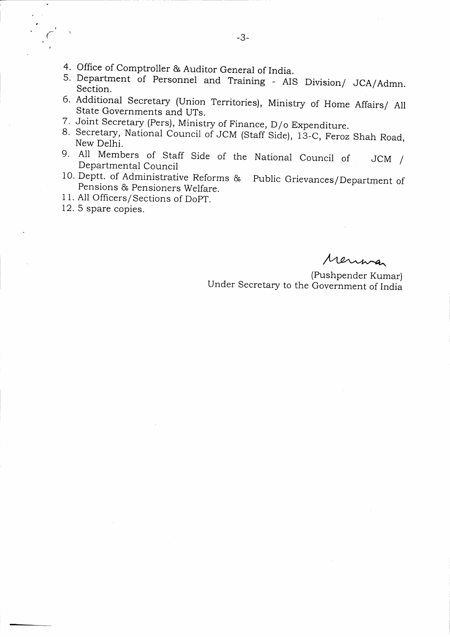- 
- 4. Office of Comptroller & Auditor General of India.<br>5. Department of Personnel and Training AIS Division/ JCA/Admn.<br>Section.
- 6. Additional Secretary (Union Territories), Ministry of Home Affairs/ All State Governments and UTs.<br>7. Joint Secretary (Pers), Ministry of Finance, D/o Expenditure.
- 
- 8. Secretary, National Council of JCM (Staff Side), 13-C, Feroz Shah Road, New Delhi.
- 9. All Members of Staff Side of the National Council of JCM / Departmental Council
- 10. Deptt. of Administrative Reforms & Pensions & Pensioners welfare. Public Grievances/Department of
- I 1 , All Officers/ Sections of DopT.
- 12.5 spare copies.

:

Merrina

Under Secretary to the Government of India(Pushpender Kumar)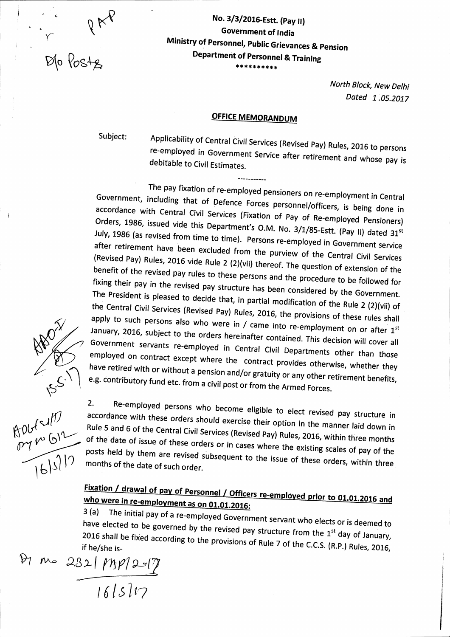$\begin{array}{c} \nabla \cdot \mathbf{r} \times \mathbf{r} \times \mathbf{r} \times \mathbf{r} \times \mathbf{r} \times \mathbf{r} \times \mathbf{r} \times \mathbf{r} \times \mathbf{r} \times \mathbf{r} \times \mathbf{r} \times \mathbf{r} \times \mathbf{r} \times \mathbf{r} \times \mathbf{r} \times \mathbf{r} \times \mathbf{r} \times \mathbf{r} \times \mathbf{r} \times \mathbf{r} \times \mathbf{r} \times \mathbf{r} \times \mathbf{r} \times \mathbf{r} \times \mathbf{r} \times \mathbf{r} \$  $D$ lo  $\sqrt{cos+2}$ 

No. 3/3/2016-Estt. (Pay II) **Government of India** Ministry of Personnel, Public Grievances & Pension Department of Personnel & Training \*\*\*\*\*\*\*\*\*\*

> North Block, New Delhi Dated 1.05.2017

### **OFFICE MEMORANDUM**

Subject:

Applicability of Central Civil Services (Revised Pay) Rules, 2016 to persons re-employed in Government Service after retirement and whose pay is debitable to Civil Estimates.

The pay fixation of re-employed pensioners on re-employment in Central Government, including that of Defence Forces personnel/officers, is being done in accordance with Central Civil Services (Fixation of Pay of Re-employed Pensioners) Orders, 1986, issued vide this Department's O.M. No. 3/1/85-Estt. (Pay II) dated 31st July, 1986 (as revised from time to time). Persons re-employed in Government service after retirement have been excluded from the purview of the Central Civil Services (Revised Pay) Rules, 2016 vide Rule 2 (2)(vii) thereof. The question of extension of the benefit of the revised pay rules to these persons and the procedure to be followed for fixing their pay in the revised pay structure has been considered by the Government. The President is pleased to decide that, in partial modification of the Rule 2 (2)(vii) of the Central Civil Services (Revised Pay) Rules, 2016, the provisions of these rules shall apply to such persons also who were in / came into re-employment on or after  $1^{st}$ January, 2016, subject to the orders hereinafter contained. This decision will cover all Government servants re-employed in Central Civil Departments other than those employed on contract except where the contract provides otherwise, whether they have retired with or without a pension and/or gratuity or any other retirement benefits, e.g. contributory fund etc. from a civil post or from the Armed Forces.



four with

Re-employed persons who become eligible to elect revised pay structure in  $2.$ accordance with these orders should exercise their option in the manner laid down in Rule 5 and 6 of the Central Civil Services (Revised Pay) Rules, 2016, within three months of the date of issue of these orders or in cases where the existing scales of pay of the posts held by them are revised subsequent to the issue of these orders, within three months of the date of such order.

#### Fixation / drawal of pay of Personnel / Officers re-employed prior to 01.01.2016 and who were in re-employment as on 01.01.2016:  $3(a)$

The initial pay of a re-employed Government servant who elects or is deemed to have elected to be governed by the revised pay structure from the 1<sup>st</sup> day of January, 2016 shall be fixed according to the provisions of Rule 7 of the C.C.S. (R.P.) Rules, 2016, if he/she is-

 $\frac{161517}{1615117}$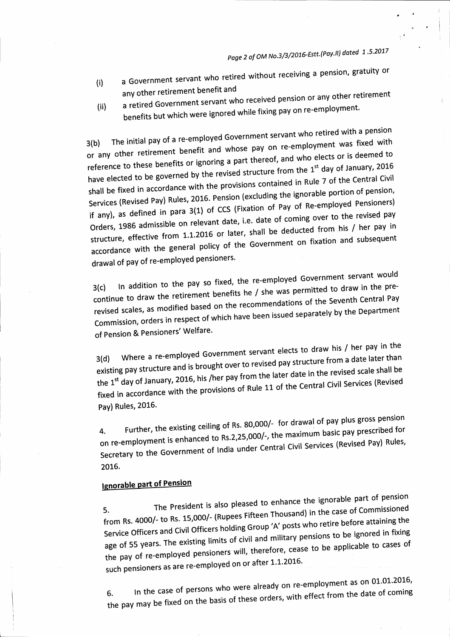Page 2 of OM No.3/3/2016-Estt.(Pay.II) dated 1.5.2017

- (i) a Government servant who retired without receiving a pension, gratuity or<br>any other retirement benefit and
- a retired Government servant who received pension or any other retirement (ii)aretired Government servant who contributed pay on re-employment. benefits but which were ignored while the gas of the payon of the payon of the payon of the payon of the payon o

3(b) The initial pay of a re-employed Government servant who retired with a pension<br>or any other retirement benefit and whose pay on re-employment was fixed with or any other retirement benefit and more than the and who elects or is deemed to reference to these benefits of ignoring  $\epsilon$  part  $\epsilon$  from the  $1^{\text{st}}$  day of January, 2016 have elected to be governed by the revised structure from the 1<sup>st</sup> day of January, 2016<br>shall be fixed in accordance with the provisions contained in Rule 7 of the Central Civil<br>Services (Revised Pay) Rules, 2016. Pension shall be fixed in accordance with the provisions contained in Rule 7 of the central civil Services (Revised Pay) Rules, 2020. Contractor of pay of Re-employed Pensioners) if any), as defined in para  $5(1)$  of  $\frac{3}{4}$  i.e. date of coming over to the revised orders, 1986 admissible on relevant date, it communicated from his / her pay structure, effective from 1.1.2016 or at the Government on fixation and subseque accordance with the general policy of the Government on fixation and subsequent

drawal of pay of re-employed pensioners.<br>3(c) In addition to the pay so fixed, the re-employed Government servant would continue to draw the retirement benefits he / she was permitted to draw in the prerevised scales, as modified based on the recommendations of the Seventh Central Pay revised scales, as modified based on the comment of separately by the Departm Commission, orders in respect of military products of the Department of Department of Department of Department of Pension & Pensioners' Welfare.

3(d) Where a re-employed Government servant elects to draw his / her pay in the existing pay structure and is brought over to revised pay structure than existing pay structure and is brought over<br>the 1<sup>st</sup> day of January, 2016, his /her pay from the later date in the revised scale shall be<br>integral of the Central Civil Services (Revised fixed in accordance with the provisions of Rule 11 of the Central Civil Services (Revised Pay) Rules, 2016.

Further, the existing ceiling of Rs. 80,000/- for drawal of pay plus gross pension on re-employment is enhanced to Rs.2,25,000/-, the maximum basic pay prescribed for Secretary to the Government of India under Central Civil Services (Revised Pay) Rules, 2016.

## Ignorable part of Pension

5. The President is also picased to the case of Commission from Rs. 4000/- to Rs. 15,000/- the pease of the commission of the petite before attaining the form Service Officers and Civil Officers holding Group 'A' posts who retire before attaining the age of 55 years. The existing limits of civil and military pensions to be ignored in fixing the pay of re-employed pensioners will, therefore, cease to be applicable to cases of such pensioners as are re-employed on or after 1.1.2016.

 $\epsilon$ . In the case of persons who were ensuredly in the fect from the date of coming the pay may be fixed on the basis of these community of the pay may be fixed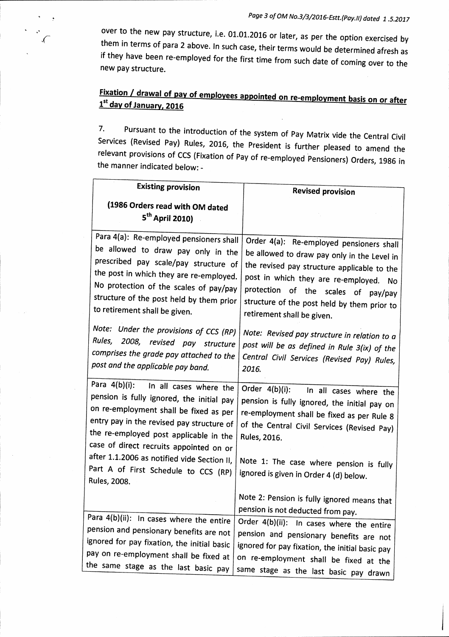over to the new pay structure, i.e. 01.01.2016 or later, as per the option exercised by<br>them in terms of sous 2. J them in terms of para 2 above. In such case, their terms would be determined afresh as If they have been re-employed for the first time from such date of coming over to the new pay structure.

.(

# Fixation / drawal of pay of employees appointed on re-employment basis on or after  $1<sup>st</sup>$  day of January, 2016

7. Pursuant to the introduction of the system of Pay Matrix vide the Central Civil<br>Services (Revised Pay) Rules, 2016, the President is further pleased to amend the<br>relevant provisions of CCS (Fixation of Pay of re-employe

| <b>Existing provision</b>                                                                                                                                                                                                                                                                                                                                                                                                                                   |                                                                                                                                                                                                                                                                                                                                                                                                                                                                   |
|-------------------------------------------------------------------------------------------------------------------------------------------------------------------------------------------------------------------------------------------------------------------------------------------------------------------------------------------------------------------------------------------------------------------------------------------------------------|-------------------------------------------------------------------------------------------------------------------------------------------------------------------------------------------------------------------------------------------------------------------------------------------------------------------------------------------------------------------------------------------------------------------------------------------------------------------|
|                                                                                                                                                                                                                                                                                                                                                                                                                                                             | <b>Revised provision</b>                                                                                                                                                                                                                                                                                                                                                                                                                                          |
| (1986 Orders read with OM dated<br>5 <sup>th</sup> April 2010)                                                                                                                                                                                                                                                                                                                                                                                              |                                                                                                                                                                                                                                                                                                                                                                                                                                                                   |
| Para 4(a): Re-employed pensioners shall<br>be allowed to draw pay only in the<br>prescribed pay scale/pay structure of<br>the post in which they are re-employed.<br>No protection of the scales of pay/pay<br>structure of the post held by them prior<br>to retirement shall be given.<br>Note: Under the provisions of CCS (RP)<br>Rules, 2008,<br>revised pay structure<br>comprises the grade pay attached to the<br>post and the applicable pay band. | Order 4(a): Re-employed pensioners shall<br>be allowed to draw pay only in the Level in<br>the revised pay structure applicable to the<br>post in which they are re-employed.<br>. No<br>protection of the scales of pay/pay<br>structure of the post held by them prior to<br>retirement shall be given.<br>Note: Revised pay structure in relation to a<br>post will be as defined in Rule 3(ix) of the<br>Central Civil Services (Revised Pay) Rules,<br>2016. |
| Para 4(b)(i):<br>In all cases where the<br>pension is fully ignored, the initial pay<br>on re-employment shall be fixed as per<br>entry pay in the revised pay structure of<br>the re-employed post applicable in the<br>case of direct recruits appointed on or<br>after 1.1.2006 as notified vide Section II,<br>Part A of First Schedule to CCS (RP)<br>Rules, 2008.                                                                                     | Order $4(b)(i)$ :<br>In all cases where the<br>pension is fully ignored, the initial pay on<br>re-employment shall be fixed as per Rule 8<br>of the Central Civil Services (Revised Pay)<br>Rules, 2016.<br>Note 1: The case where pension is fully<br>ignored is given in Order 4 (d) below.                                                                                                                                                                     |
| Para 4(b)(ii): In cases where the entire<br>pension and pensionary benefits are not<br>ignored for pay fixation, the initial basic                                                                                                                                                                                                                                                                                                                          | Note 2: Pension is fully ignored means that<br>pension is not deducted from pay.<br>Order 4(b)(ii):<br>In cases where the entire<br>pension and pensionary benefits are not<br>ignored for pay fixation, the initial basic pay                                                                                                                                                                                                                                    |
| pay on re-employment shall be fixed at<br>the same stage as the last basic pay                                                                                                                                                                                                                                                                                                                                                                              | on re-employment shall be fixed at the<br>same stage as the last basic pay drawn                                                                                                                                                                                                                                                                                                                                                                                  |